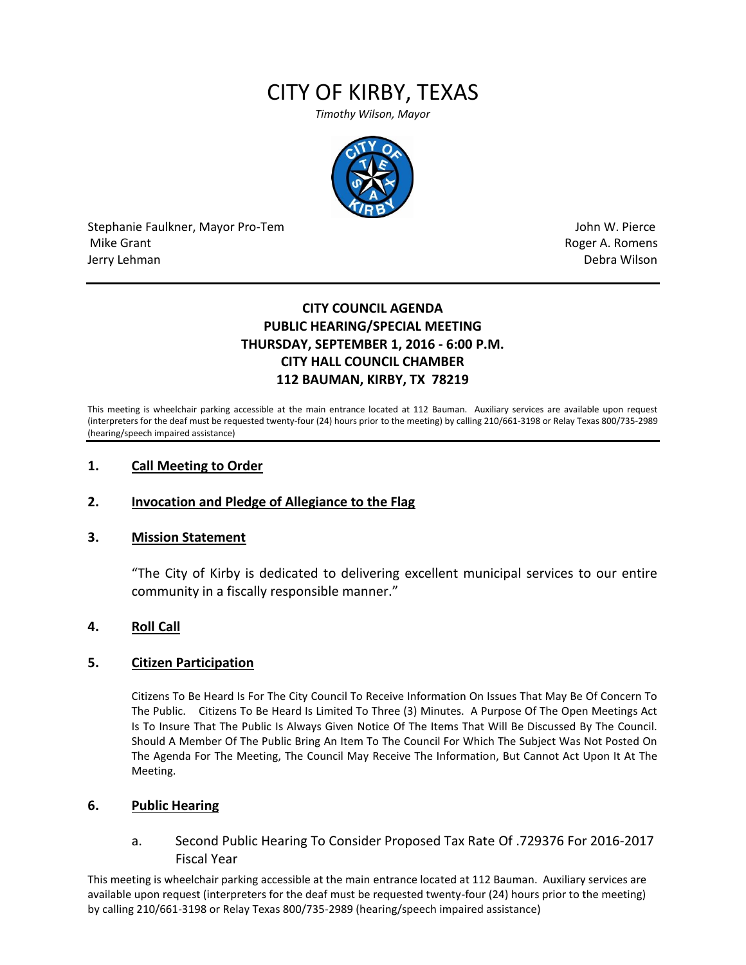# CITY OF KIRBY, TEXAS

*Timothy Wilson, Mayor*



Stephanie Faulkner, Mayor Pro-Tem John W. Pierce Mike Grant **Roger A. Romens** and the control of the control of the control of the control of the control of the control of the control of the control of the control of the control of the control of the control of the contr Jerry Lehman Debra Wilson

## **CITY COUNCIL AGENDA PUBLIC HEARING/SPECIAL MEETING THURSDAY, SEPTEMBER 1, 2016 - 6:00 P.M. CITY HALL COUNCIL CHAMBER 112 BAUMAN, KIRBY, TX 78219**

This meeting is wheelchair parking accessible at the main entrance located at 112 Bauman. Auxiliary services are available upon request (interpreters for the deaf must be requested twenty-four (24) hours prior to the meeting) by calling 210/661-3198 or Relay Texas 800/735-2989 (hearing/speech impaired assistance)

### **1. Call Meeting to Order**

#### **2. Invocation and Pledge of Allegiance to the Flag**

#### **3. Mission Statement**

"The City of Kirby is dedicated to delivering excellent municipal services to our entire community in a fiscally responsible manner."

#### **4. Roll Call**

#### **5. Citizen Participation**

Citizens To Be Heard Is For The City Council To Receive Information On Issues That May Be Of Concern To The Public. Citizens To Be Heard Is Limited To Three (3) Minutes. A Purpose Of The Open Meetings Act Is To Insure That The Public Is Always Given Notice Of The Items That Will Be Discussed By The Council. Should A Member Of The Public Bring An Item To The Council For Which The Subject Was Not Posted On The Agenda For The Meeting, The Council May Receive The Information, But Cannot Act Upon It At The Meeting.

#### **6. Public Hearing**

a. Second Public Hearing To Consider Proposed Tax Rate Of .729376 For 2016-2017 Fiscal Year

This meeting is wheelchair parking accessible at the main entrance located at 112 Bauman. Auxiliary services are available upon request (interpreters for the deaf must be requested twenty-four (24) hours prior to the meeting) by calling 210/661-3198 or Relay Texas 800/735-2989 (hearing/speech impaired assistance)